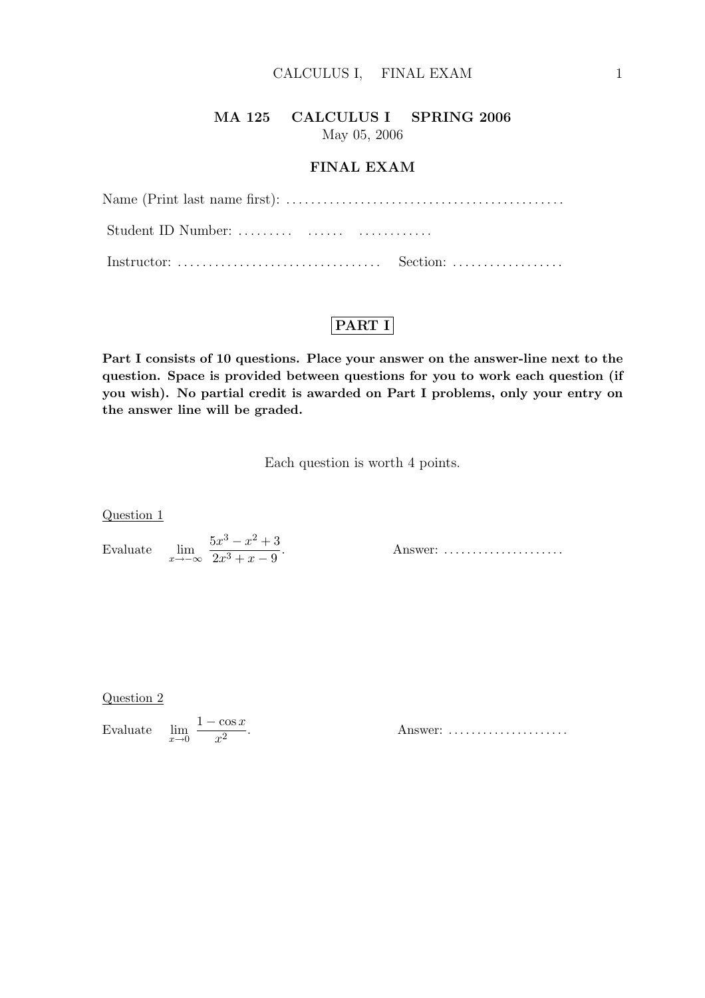# MA 125 CALCULUS I SPRING 2006

May 05, 2006

### FINAL EXAM

| Name (Print last name first): $\dots \dots \dots \dots \dots \dots \dots \dots \dots \dots \dots \dots \dots$ |
|---------------------------------------------------------------------------------------------------------------|
|                                                                                                               |
|                                                                                                               |

# PART I

Part I consists of 10 questions. Place your answer on the answer-line next to the question. Space is provided between questions for you to work each question (if you wish). No partial credit is awarded on Part I problems, only your entry on the answer line will be graded.

Each question is worth 4 points.

Question 1

Evaluate  $\lim_{x \to -\infty} \frac{5x^3 - x^2 + 3}{2x^3 + x - 9}$  $2x^3 + x - 9$ 

. Answer: . . . . . . . . . . . . . . . . . . . . .

Question 2

Evaluate  $\lim_{x\to 0}$  $1 - \cos x$  $x^2$ 

. Answer: . . . . . . . . . . . . . . . . . . . . .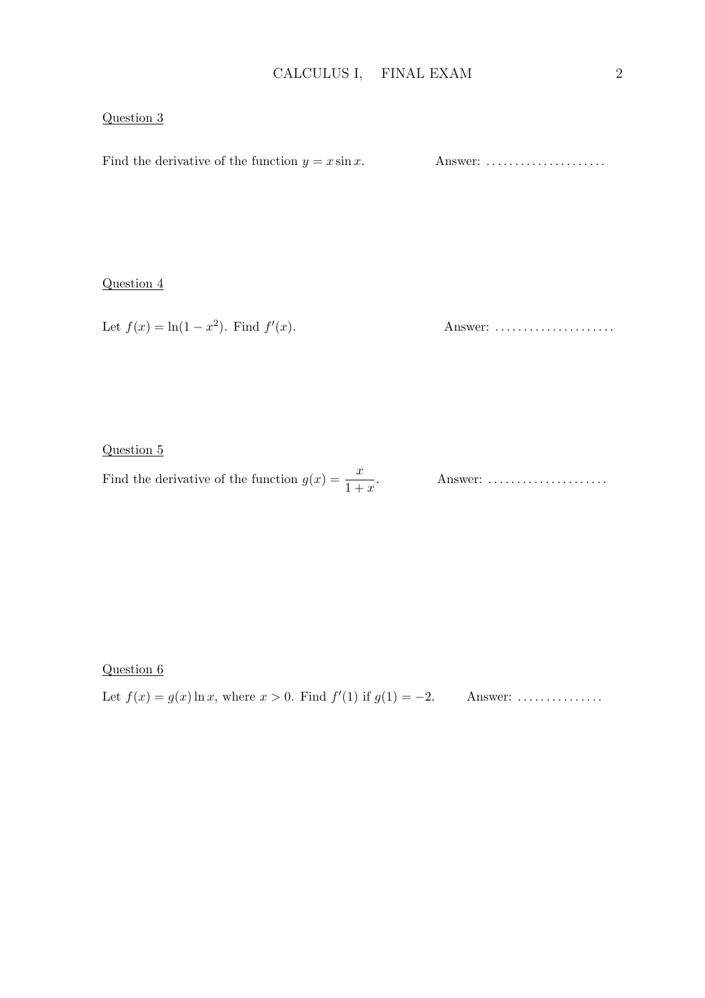### Question 3

Find the derivative of the function y = x sin x. Answer: . . . . . . . . . . . . . . . . . . . . .

### Question 4

Let  $f(x) = \ln(1 - x^2)$ . Find  $f'$ (x). Answer: . . . . . . . . . . . . . . . . . . . . .

#### Question 5

Find the derivative of the function  $g(x) = \frac{x}{1+x}$ 

Answer: ......................

### Question 6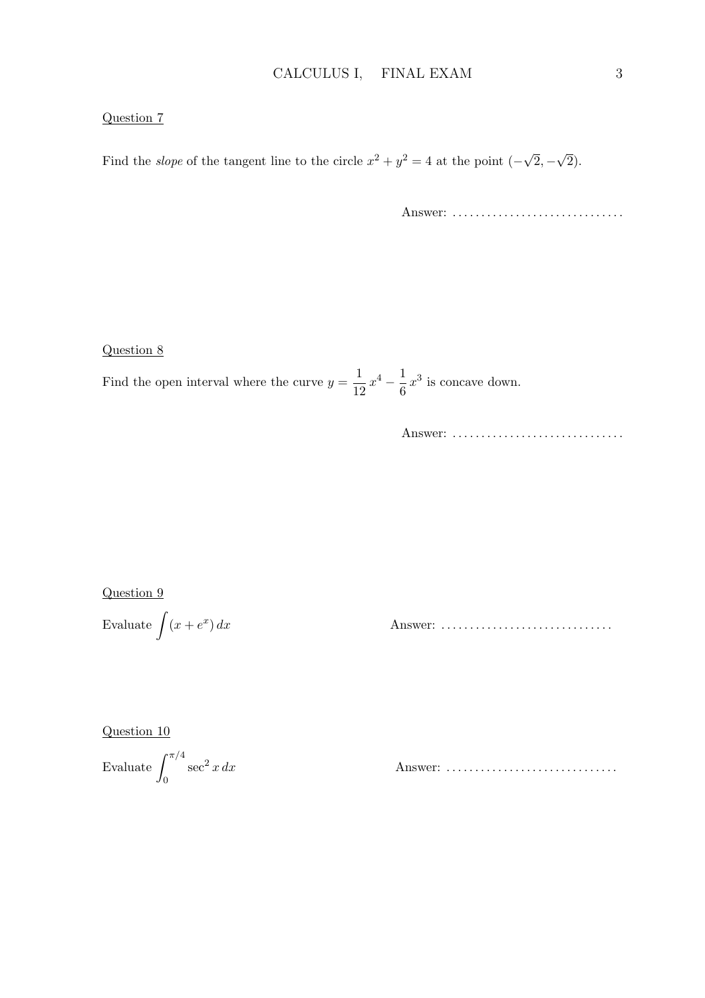#### Question 7

Find the *slope* of the tangent line to the circle  $x^2 + y^2 = 4$  at the point  $(-\sqrt{\sqrt{3}})$  $2, -$ √ 2).

Answer: .................................

Question 8

Find the open interval where the curve  $y = \frac{1}{16}$  $\frac{1}{12}x^4 - \frac{1}{6}$  $\frac{1}{6}x^3$  is concave down.

Answer: ...................................

Question 9

Evaluate 
$$
\int (x + e^x) \, dx
$$

) dx Answer: . . . . . . . . . . . . . . . . . . . . . . . . . . . . . .

Question 10

Evaluate 
$$
\int_0^{\pi/4} \sec^2 x \, dx
$$

sec<sup>2</sup> x dx Answer: . . . . . . . . . . . . . . . . . . . . . . . . . . . . . .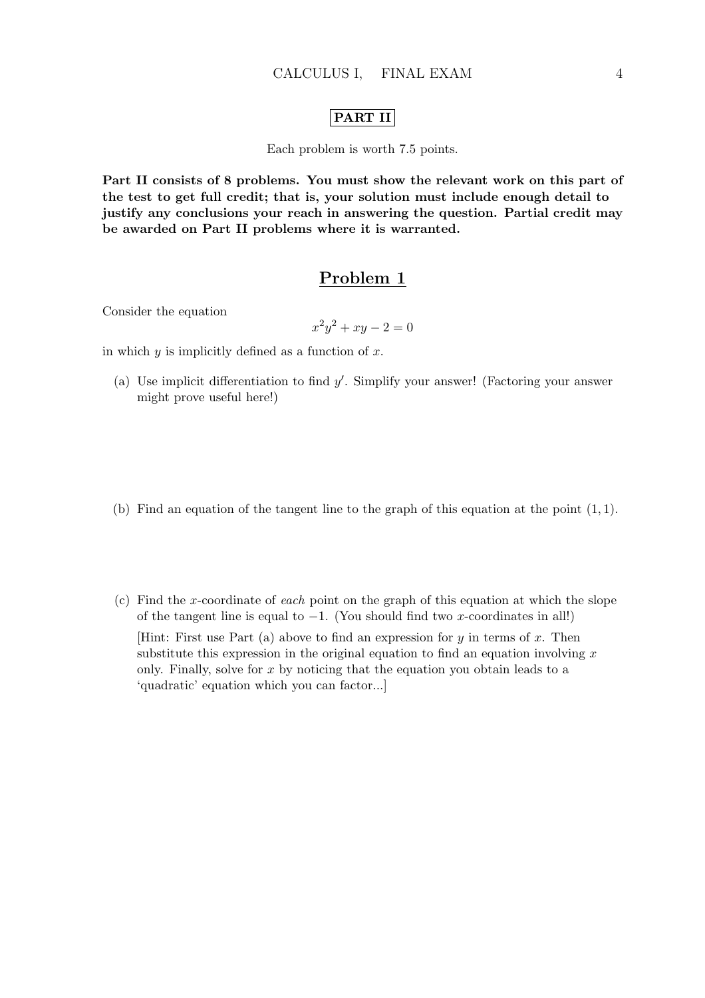#### PART II

Each problem is worth 7.5 points.

Part II consists of 8 problems. You must show the relevant work on this part of the test to get full credit; that is, your solution must include enough detail to justify any conclusions your reach in answering the question. Partial credit may be awarded on Part II problems where it is warranted.

## Problem 1

Consider the equation

$$
x^2y^2 + xy - 2 = 0
$$

in which  $y$  is implicitly defined as a function of  $x$ .

- (a) Use implicit differentiation to find  $y'$ . Simplify your answer! (Factoring your answer might prove useful here!)
- (b) Find an equation of the tangent line to the graph of this equation at the point  $(1, 1)$ .
- (c) Find the x-coordinate of each point on the graph of this equation at which the slope of the tangent line is equal to  $-1$ . (You should find two x-coordinates in all!) [Hint: First use Part (a) above to find an expression for  $y$  in terms of  $x$ . Then substitute this expression in the original equation to find an equation involving  $x$ only. Finally, solve for  $x$  by noticing that the equation you obtain leads to a 'quadratic' equation which you can factor...]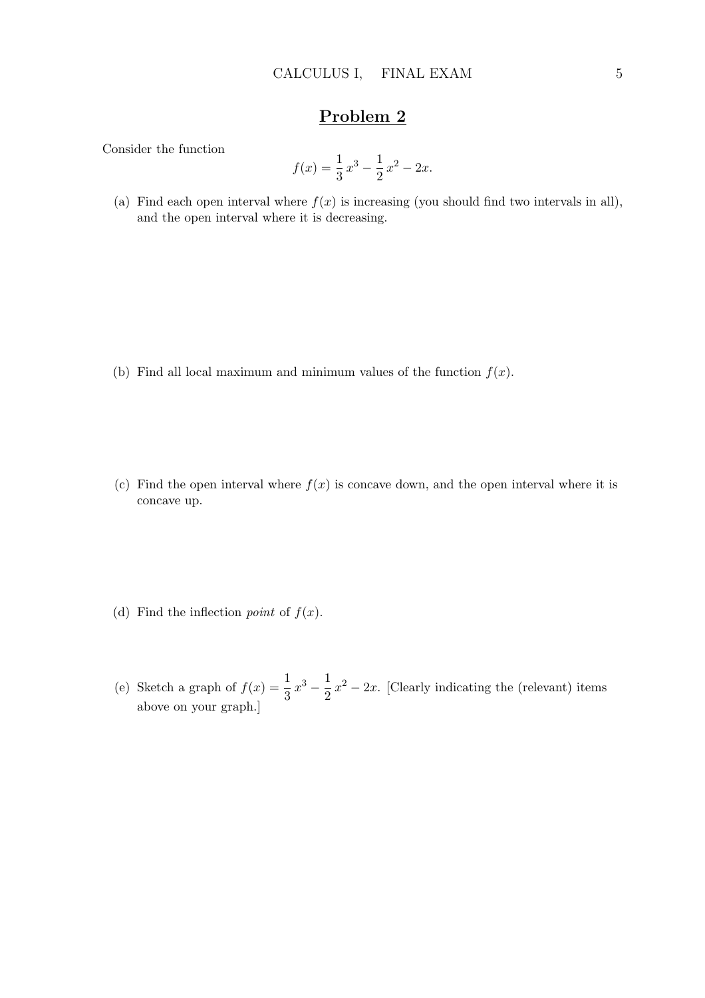Consider the function

$$
f(x) = \frac{1}{3}x^3 - \frac{1}{2}x^2 - 2x.
$$

(a) Find each open interval where  $f(x)$  is increasing (you should find two intervals in all), and the open interval where it is decreasing.

- (b) Find all local maximum and minimum values of the function  $f(x)$ .
- (c) Find the open interval where  $f(x)$  is concave down, and the open interval where it is concave up.
- (d) Find the inflection *point* of  $f(x)$ .
- (e) Sketch a graph of  $f(x) = \frac{1}{3}x^3 \frac{1}{2}$  $\frac{1}{2}x^2 - 2x$ . [Clearly indicating the (relevant) items above on your graph.]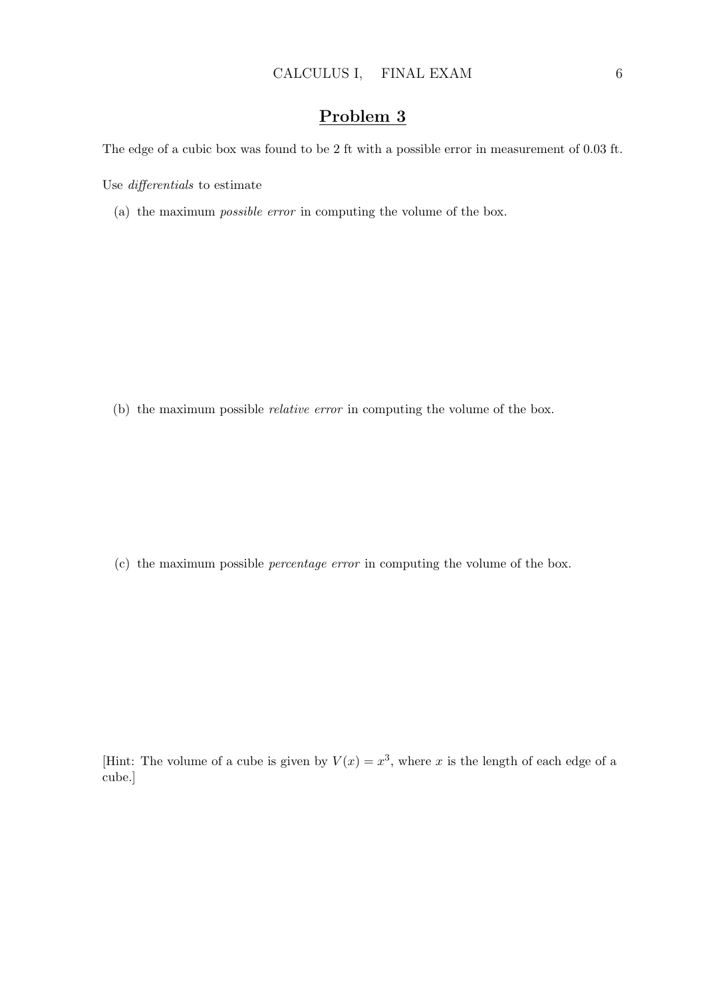The edge of a cubic box was found to be 2 ft with a possible error in measurement of 0.03 ft.

Use differentials to estimate

(a) the maximum possible error in computing the volume of the box.

(b) the maximum possible relative error in computing the volume of the box.

(c) the maximum possible percentage error in computing the volume of the box.

[Hint: The volume of a cube is given by  $V(x) = x^3$ , where x is the length of each edge of a cube.]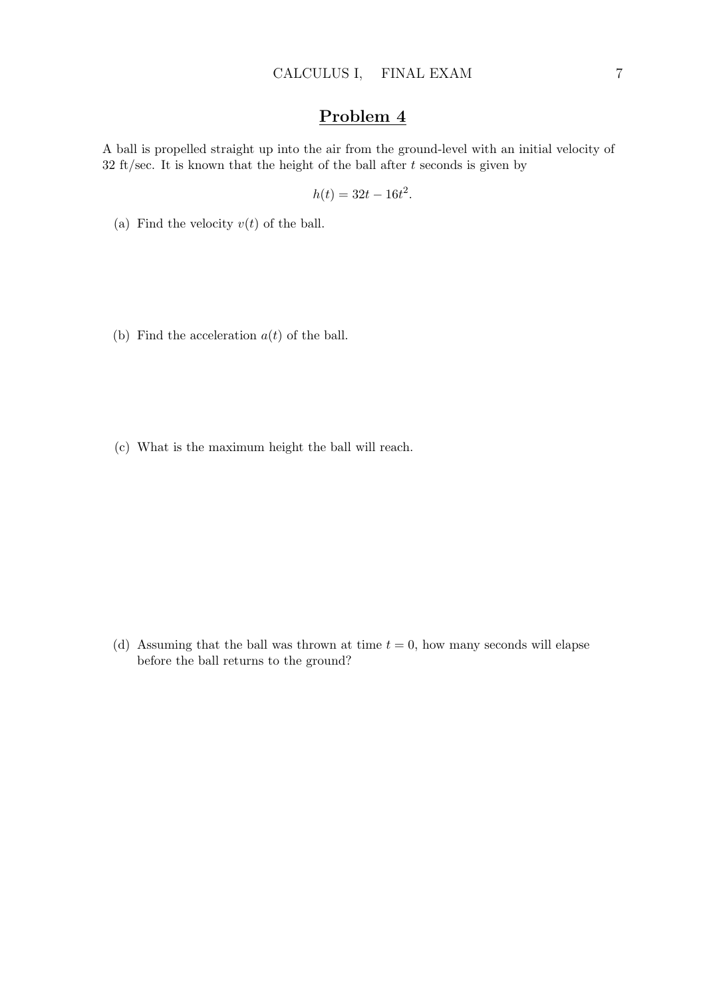A ball is propelled straight up into the air from the ground-level with an initial velocity of 32 ft/sec. It is known that the height of the ball after  $t$  seconds is given by

$$
h(t) = 32t - 16t^2.
$$

- (a) Find the velocity  $v(t)$  of the ball.
- (b) Find the acceleration  $a(t)$  of the ball.
- (c) What is the maximum height the ball will reach.

(d) Assuming that the ball was thrown at time  $t = 0$ , how many seconds will elapse before the ball returns to the ground?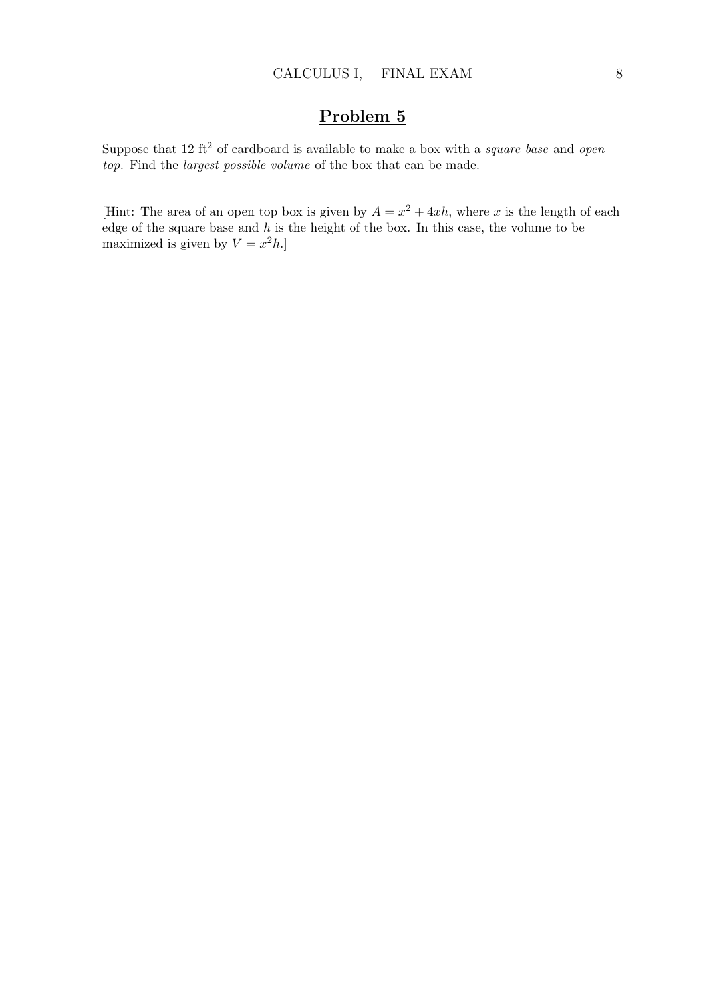Suppose that 12 ft<sup>2</sup> of cardboard is available to make a box with a *square base* and *open* top. Find the largest possible volume of the box that can be made.

[Hint: The area of an open top box is given by  $A = x^2 + 4xh$ , where x is the length of each edge of the square base and  $h$  is the height of the box. In this case, the volume to be maximized is given by  $V = x^2 h$ .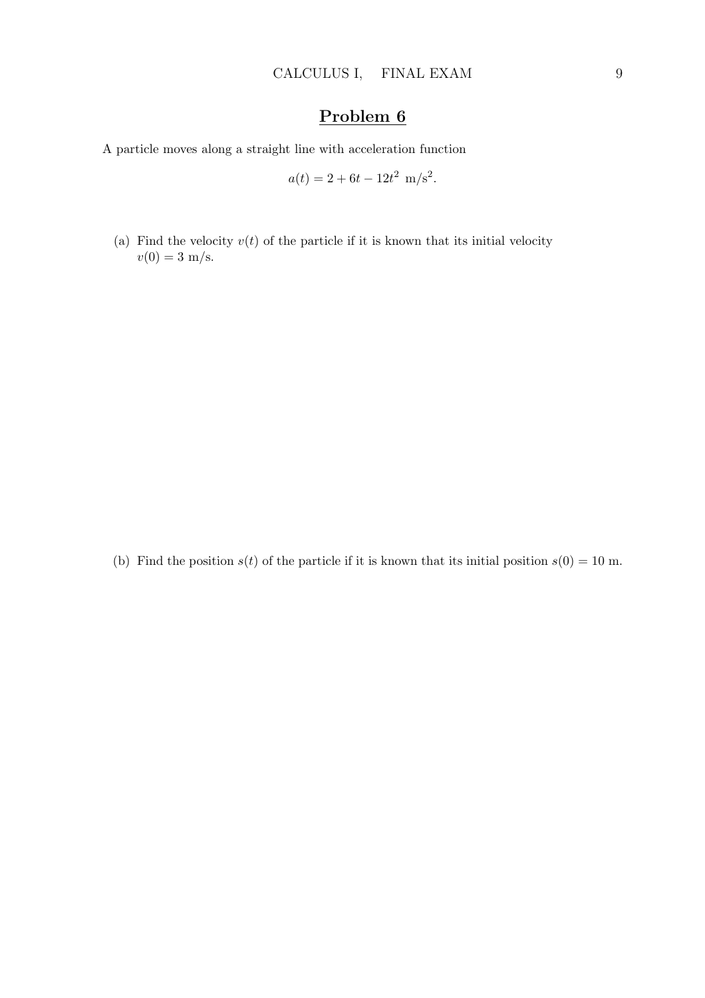A particle moves along a straight line with acceleration function

$$
a(t) = 2 + 6t - 12t^2
$$
 m/s<sup>2</sup>.

(a) Find the velocity  $v(t)$  of the particle if it is known that its initial velocity  $v(0) = 3$  m/s.

(b) Find the position  $s(t)$  of the particle if it is known that its initial position  $s(0) = 10$  m.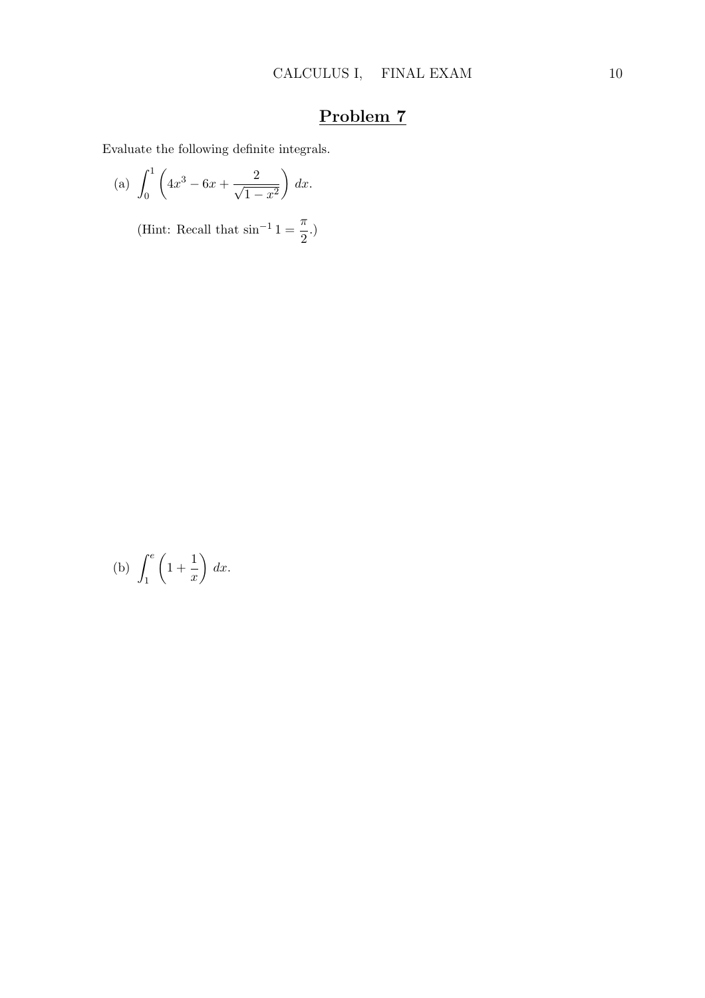Evaluate the following definite integrals.

(a) 
$$
\int_0^1 \left(4x^3 - 6x + \frac{2}{\sqrt{1-x^2}}\right) dx
$$
.

(Hint: Recall that  $\sin^{-1} 1 = \frac{\pi}{2}$  $\frac{n}{2}$ .)

(b) 
$$
\int_1^e \left(1 + \frac{1}{x}\right) dx.
$$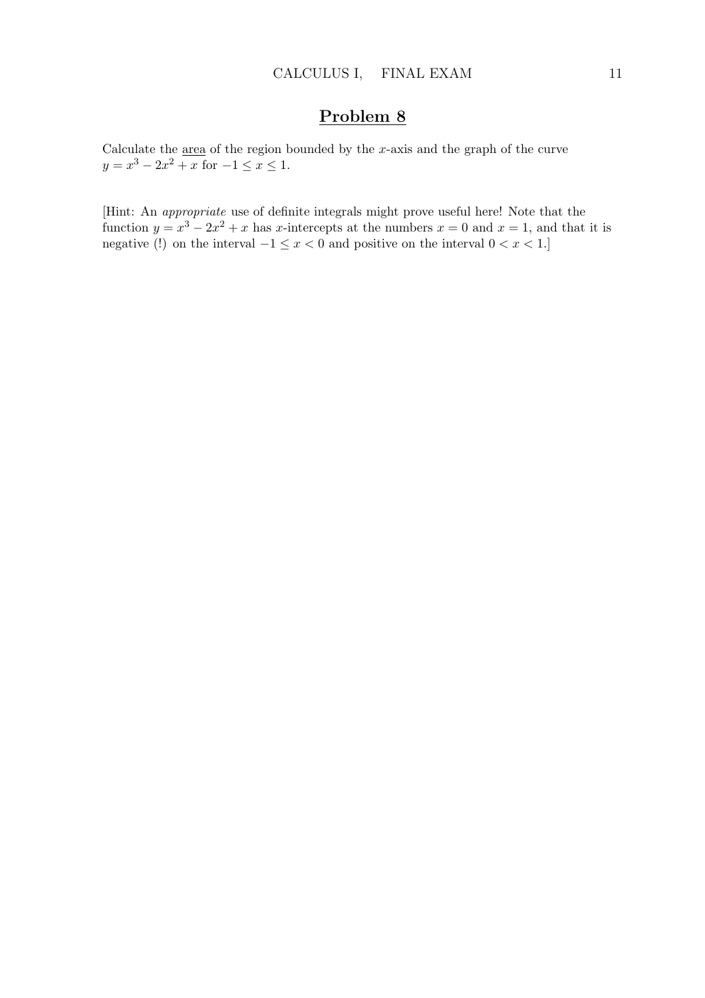Calculate the  $\frac{\text{area}}{\text{area}}$  of the region bounded by the x-axis and the graph of the curve  $y = x^3 - 2x^2 + x$  for  $-1 \le x \le 1$ .

[Hint: An appropriate use of definite integrals might prove useful here! Note that the function  $y = x^3 - 2x^2 + x$  has x-intercepts at the numbers  $x = 0$  and  $x = 1$ , and that it is negative (!) on the interval  $-1 \leq x < 0$  and positive on the interval  $0 < x < 1$ .